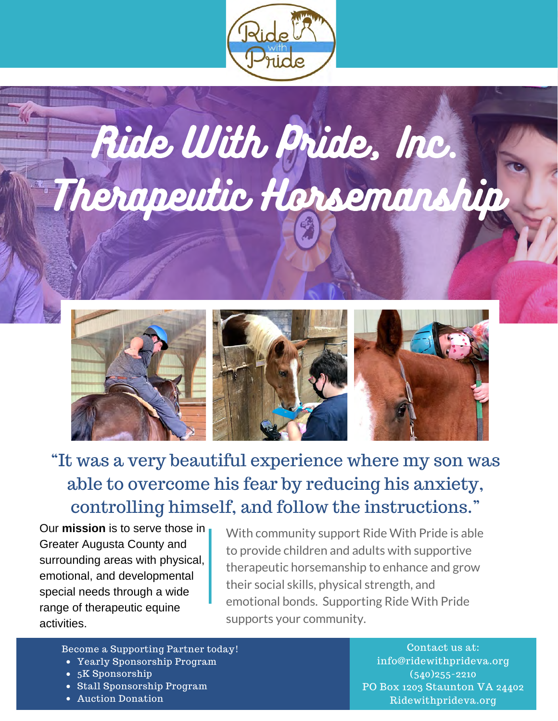





# "It was a very beautiful experience where my son was able to overcome his fear by reducing his anxiety, controlling himself, and follow the instructions."

Our **mission** is to serve those in Greater Augusta County and surrounding areas with physical, emotional, and developmental special needs through a wide range of therapeutic equine activities.

With community support Ride With Pride is able to provide children and adults with supportive therapeutic horsemanship to enhance and grow their social skills, physical strength, and emotional bonds. Supporting Ride With Pride supports your community.

### Become a Supporting Partner today! Contact us at:

- Yearly Sponsorship Program
- 5K Sponsorship
- Stall Sponsorship Program
- Auction Donation

info@ridewithprideva.org (540)255-2210 PO Box 1203 Staunton VA 24402 Ridewithprideva.org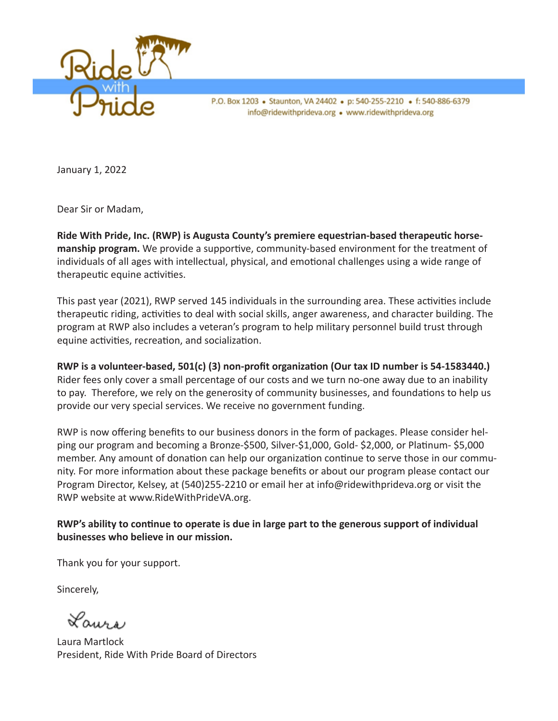

P.O. Box 1203 • Staunton, VA 24402 • p: 540-255-2210 • f: 540-886-6379 info@ridewithprideva.org . www.ridewithprideva.org

January 1, 2022

Dear Sir or Madam,

**Ride With Pride, Inc. (RWP) is Augusta County's premiere equestrian-based therapeutic horsemanship program.** We provide a supportive, community-based environment for the treatment of individuals of all ages with intellectual, physical, and emotional challenges using a wide range of therapeutic equine activities.

This past year (2021), RWP served 145 individuals in the surrounding area. These activities include therapeutic riding, activities to deal with social skills, anger awareness, and character building. The program at RWP also includes a veteran's program to help military personnel build trust through equine activities, recreation, and socialization.

**RWP is a volunteer-based, 501(c) (3) non-profit organization (Our tax ID number is 54-1583440.)**  Rider fees only cover a small percentage of our costs and we turn no-one away due to an inability to pay. Therefore, we rely on the generosity of community businesses, and foundations to help us provide our very special services. We receive no government funding.

RWP is now offering benefits to our business donors in the form of packages. Please consider helping our program and becoming a Bronze-\$500, Silver-\$1,000, Gold- \$2,000, or Platinum- \$5,000 member. Any amount of donation can help our organization continue to serve those in our community. For more information about these package benefits or about our program please contact our Program Director, Kelsey, at (540)255-2210 or email her at info@ridewithprideva.org or visit the RWP website at www.RideWithPrideVA.org.

#### **RWP's ability to continue to operate is due in large part to the generous support of individual businesses who believe in our mission.**

Thank you for your support.

Sincerely,

Laurs

Laura Martlock President, Ride With Pride Board of Directors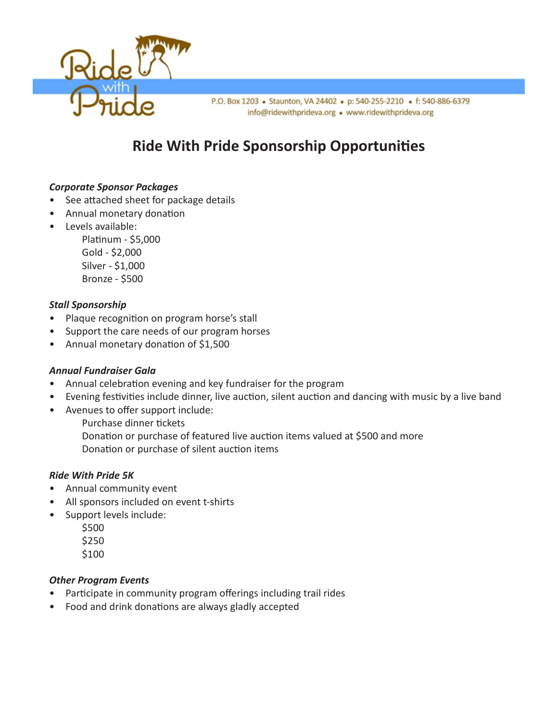

P.O. Box 1203 • Staunton, VA 24402 • p: 540-255-2210 • f: 540-886-6379 info@ridewithprideva.org . www.ridewithprideva.org

## **Ride With Pride Sponsorship Opportunities**

#### *Corporate Sponsor Packages*

- See attached sheet for package details
- Annual monetary donation
- Levels available:

Platinum - \$5,000 Gold - \$2,000 Silver - \$1,000 Bronze - \$500

#### *Stall Sponsorship*

- Plaque recognition on program horse's stall
- Support the care needs of our program horses
- Annual monetary donation of \$1,500

#### *Annual Fundraiser Gala*

- Annual celebration evening and key fundraiser for the program
- Evening festivities include dinner, live auction, silent auction and dancing with music by a live band
- Avenues to offer support include:
	- Purchase dinner tickets
	- Donation or purchase of featured live auction items valued at \$500 and more Donation or purchase of silent auction items

#### *Ride With Pride 5K*

- Annual community event
- All sponsors included on event t-shirts
- Support levels include:
	- \$500
	- \$250
	- \$100

#### *Other Program Events*

- Participate in community program offerings including trail rides
- Food and drink donations are always gladly accepted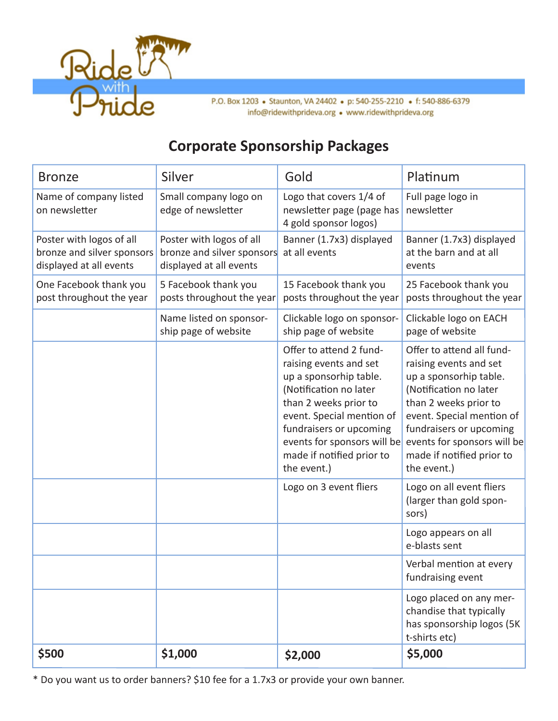

### **Corporate Sponsorship Packages**

| <b>Bronze</b>                                                                     | Silver                                                                            | Gold                                                                                                                                                                                                                                                              | Platinum                                                                                                                                                                                                                                                            |
|-----------------------------------------------------------------------------------|-----------------------------------------------------------------------------------|-------------------------------------------------------------------------------------------------------------------------------------------------------------------------------------------------------------------------------------------------------------------|---------------------------------------------------------------------------------------------------------------------------------------------------------------------------------------------------------------------------------------------------------------------|
| Name of company listed<br>on newsletter                                           | Small company logo on<br>edge of newsletter                                       | Logo that covers 1/4 of<br>newsletter page (page has<br>4 gold sponsor logos)                                                                                                                                                                                     | Full page logo in<br>newsletter                                                                                                                                                                                                                                     |
| Poster with logos of all<br>bronze and silver sponsors<br>displayed at all events | Poster with logos of all<br>bronze and silver sponsors<br>displayed at all events | Banner (1.7x3) displayed<br>at all events                                                                                                                                                                                                                         | Banner (1.7x3) displayed<br>at the barn and at all<br>events                                                                                                                                                                                                        |
| One Facebook thank you<br>post throughout the year                                | 5 Facebook thank you<br>posts throughout the year                                 | 15 Facebook thank you<br>posts throughout the year                                                                                                                                                                                                                | 25 Facebook thank you<br>posts throughout the year                                                                                                                                                                                                                  |
|                                                                                   | Name listed on sponsor-<br>ship page of website                                   | Clickable logo on sponsor-<br>ship page of website                                                                                                                                                                                                                | Clickable logo on EACH<br>page of website                                                                                                                                                                                                                           |
|                                                                                   |                                                                                   | Offer to attend 2 fund-<br>raising events and set<br>up a sponsorhip table.<br>(Notification no later<br>than 2 weeks prior to<br>event. Special mention of<br>fundraisers or upcoming<br>events for sponsors will be<br>made if notified prior to<br>the event.) | Offer to attend all fund-<br>raising events and set<br>up a sponsorhip table.<br>(Notification no later<br>than 2 weeks prior to<br>event. Special mention of<br>fundraisers or upcoming<br>events for sponsors will be<br>made if notified prior to<br>the event.) |
|                                                                                   |                                                                                   | Logo on 3 event fliers                                                                                                                                                                                                                                            | Logo on all event fliers<br>(larger than gold spon-<br>sors)                                                                                                                                                                                                        |
|                                                                                   |                                                                                   |                                                                                                                                                                                                                                                                   | Logo appears on all<br>e-blasts sent                                                                                                                                                                                                                                |
|                                                                                   |                                                                                   |                                                                                                                                                                                                                                                                   | Verbal mention at every<br>fundraising event                                                                                                                                                                                                                        |
|                                                                                   |                                                                                   |                                                                                                                                                                                                                                                                   | Logo placed on any mer-<br>chandise that typically<br>has sponsorship logos (5K<br>t-shirts etc)                                                                                                                                                                    |
| \$500                                                                             | \$1,000                                                                           | \$2,000                                                                                                                                                                                                                                                           | \$5,000                                                                                                                                                                                                                                                             |

\* Do you want us to order banners? \$10 fee for a 1.7x3 or provide your own banner.